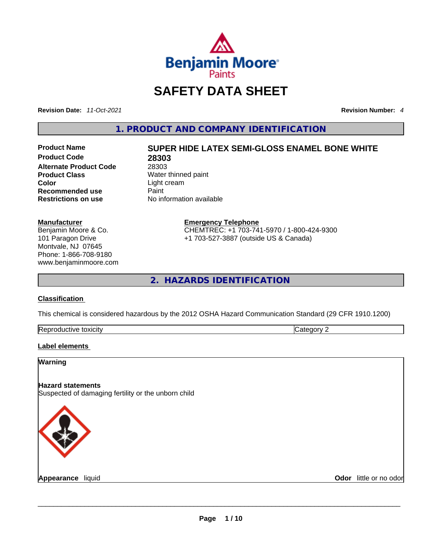

# **SAFETY DATA SHEET**

**Revision Date:** *11-Oct-2021* **Revision Number:** *4*

**1. PRODUCT AND COMPANY IDENTIFICATION** 

**Product Code 28303 Alternate Product Code** 28303<br> **Product Class** Water **Product Class Server All Alternation Water thinned paint Color Color Recommended use** Paint<br> **Restrictions on use** Mo information available **Restrictions** on use

# **Product Name SUPER HIDE LATEX SEMI-GLOSS ENAMEL BONE WHITE**

**Color** Light cream

#### **Manufacturer**

Benjamin Moore & Co. 101 Paragon Drive Montvale, NJ 07645 Phone: 1-866-708-9180 www.benjaminmoore.com

#### **Emergency Telephone** CHEMTREC: +1 703-741-5970 / 1-800-424-9300

+1 703-527-3887 (outside US & Canada)

**2. HAZARDS IDENTIFICATION** 

## **Classification**

This chemical is considered hazardous by the 2012 OSHA Hazard Communication Standard (29 CFR 1910.1200)

| Rer<br>toxicity<br>quetive | . |
|----------------------------|---|

## **Label elements**

| <b>Warning</b>           |                                                     |                        |
|--------------------------|-----------------------------------------------------|------------------------|
| <b>Hazard statements</b> | Suspected of damaging fertility or the unborn child |                        |
|                          |                                                     |                        |
| Appearance liquid        |                                                     | Odor little or no odor |
|                          |                                                     |                        |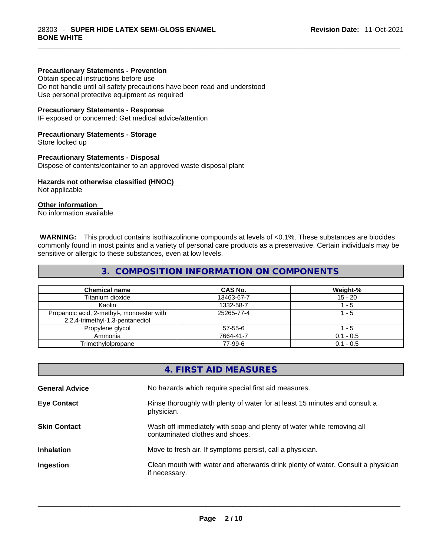#### **Precautionary Statements - Prevention**

Obtain special instructions before use

Do not handle until all safety precautions have been read and understood Use personal protective equipment as required

#### **Precautionary Statements - Response**

IF exposed or concerned: Get medical advice/attention

#### **Precautionary Statements - Storage**

Store locked up

#### **Precautionary Statements - Disposal**

Dispose of contents/container to an approved waste disposal plant

#### **Hazards not otherwise classified (HNOC)**

Not applicable

## **Other information**

No information available

 **WARNING:** This product contains isothiazolinone compounds at levels of <0.1%. These substances are biocides commonly found in most paints and a variety of personal care products as a preservative. Certain individuals may be sensitive or allergic to these substances, even at low levels.

## **3. COMPOSITION INFORMATION ON COMPONENTS**

| <b>Chemical name</b>                                                         | CAS No.    | Weight-%    |
|------------------------------------------------------------------------------|------------|-------------|
| Titanium dioxide                                                             | 13463-67-7 | $15 - 20$   |
| Kaolin                                                                       | 1332-58-7  | - 5         |
| Propanoic acid, 2-methyl-, monoester with<br>2,2,4-trimethyl-1,3-pentanediol | 25265-77-4 | 1 - 5       |
| Propylene glycol                                                             | 57-55-6    | - 5         |
| Ammonia                                                                      | 7664-41-7  | $0.1 - 0.5$ |
| Trimethylolpropane                                                           | 77-99-6    | $0.1 - 0.5$ |

|                       | 4. FIRST AID MEASURES                                                                                    |
|-----------------------|----------------------------------------------------------------------------------------------------------|
| <b>General Advice</b> | No hazards which require special first aid measures.                                                     |
| <b>Eye Contact</b>    | Rinse thoroughly with plenty of water for at least 15 minutes and consult a<br>physician.                |
| <b>Skin Contact</b>   | Wash off immediately with soap and plenty of water while removing all<br>contaminated clothes and shoes. |
| <b>Inhalation</b>     | Move to fresh air. If symptoms persist, call a physician.                                                |
| Ingestion             | Clean mouth with water and afterwards drink plenty of water. Consult a physician<br>if necessary.        |
|                       |                                                                                                          |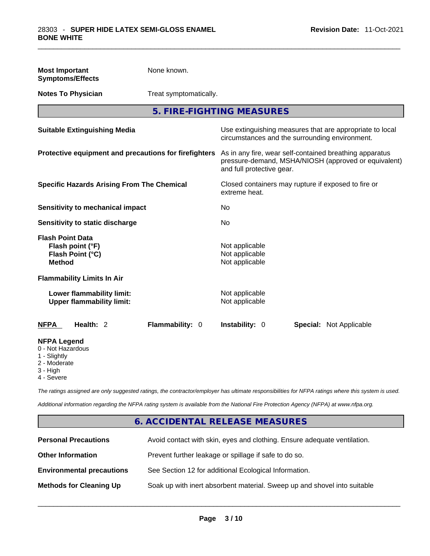| <b>Most Important</b><br><b>Symptoms/Effects</b>                                                  | None known.            |                                                                                                                                              |                                                                                                            |  |
|---------------------------------------------------------------------------------------------------|------------------------|----------------------------------------------------------------------------------------------------------------------------------------------|------------------------------------------------------------------------------------------------------------|--|
| <b>Notes To Physician</b>                                                                         | Treat symptomatically. |                                                                                                                                              |                                                                                                            |  |
|                                                                                                   |                        | 5. FIRE-FIGHTING MEASURES                                                                                                                    |                                                                                                            |  |
| <b>Suitable Extinguishing Media</b>                                                               |                        |                                                                                                                                              | Use extinguishing measures that are appropriate to local<br>circumstances and the surrounding environment. |  |
| Protective equipment and precautions for firefighters                                             |                        | As in any fire, wear self-contained breathing apparatus<br>pressure-demand, MSHA/NIOSH (approved or equivalent)<br>and full protective gear. |                                                                                                            |  |
| <b>Specific Hazards Arising From The Chemical</b>                                                 |                        | extreme heat.                                                                                                                                | Closed containers may rupture if exposed to fire or                                                        |  |
| <b>Sensitivity to mechanical impact</b>                                                           |                        | No                                                                                                                                           |                                                                                                            |  |
| Sensitivity to static discharge                                                                   |                        | No                                                                                                                                           |                                                                                                            |  |
| <b>Flash Point Data</b><br>Flash point (°F)<br>Flash Point (°C)<br><b>Method</b>                  |                        | Not applicable<br>Not applicable<br>Not applicable                                                                                           |                                                                                                            |  |
| <b>Flammability Limits In Air</b>                                                                 |                        |                                                                                                                                              |                                                                                                            |  |
| Lower flammability limit:<br><b>Upper flammability limit:</b>                                     |                        | Not applicable<br>Not applicable                                                                                                             |                                                                                                            |  |
| <b>NFPA</b><br>Health: 2                                                                          | Flammability: 0        | Instability: 0                                                                                                                               | <b>Special: Not Applicable</b>                                                                             |  |
| <b>NFPA Legend</b><br>0 - Not Hazardous<br>1 - Slightly<br>2 - Moderate<br>3 - High<br>4 - Severe |                        |                                                                                                                                              |                                                                                                            |  |

*The ratings assigned are only suggested ratings, the contractor/employer has ultimate responsibilities for NFPA ratings where this system is used.* 

*Additional information regarding the NFPA rating system is available from the National Fire Protection Agency (NFPA) at www.nfpa.org.* 

# **6. ACCIDENTAL RELEASE MEASURES**

| <b>Personal Precautions</b>      | Avoid contact with skin, eyes and clothing. Ensure adequate ventilation. |
|----------------------------------|--------------------------------------------------------------------------|
| <b>Other Information</b>         | Prevent further leakage or spillage if safe to do so.                    |
| <b>Environmental precautions</b> | See Section 12 for additional Ecological Information.                    |
| <b>Methods for Cleaning Up</b>   | Soak up with inert absorbent material. Sweep up and shovel into suitable |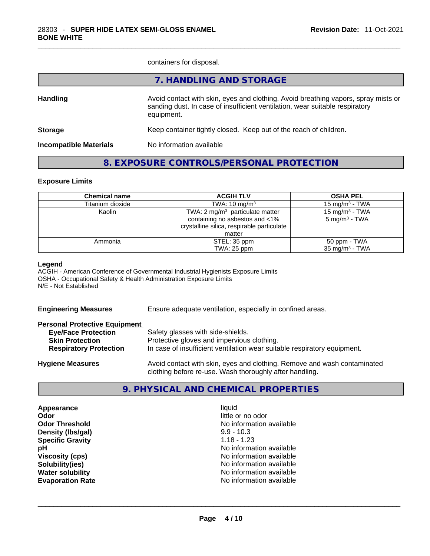containers for disposal.

|                               | 7. HANDLING AND STORAGE                                                                                                                                                          |
|-------------------------------|----------------------------------------------------------------------------------------------------------------------------------------------------------------------------------|
| <b>Handling</b>               | Avoid contact with skin, eyes and clothing. Avoid breathing vapors, spray mists or<br>sanding dust. In case of insufficient ventilation, wear suitable respiratory<br>equipment. |
| <b>Storage</b>                | Keep container tightly closed. Keep out of the reach of children.                                                                                                                |
| <b>Incompatible Materials</b> | No information available                                                                                                                                                         |
|                               |                                                                                                                                                                                  |

## **8. EXPOSURE CONTROLS/PERSONAL PROTECTION**

#### **Exposure Limits**

| <b>Chemical name</b> | <b>ACGIH TLV</b>                            | <b>OSHA PEL</b>            |
|----------------------|---------------------------------------------|----------------------------|
| Titanium dioxide     | TWA: $10 \text{ mg/m}^3$                    | 15 mg/m $3$ - TWA          |
| Kaolin               | TWA: 2 mg/m <sup>3</sup> particulate matter | 15 mg/m <sup>3</sup> - TWA |
|                      | containing no asbestos and <1%              | $5 \text{ mg/m}^3$ - TWA   |
|                      | crystalline silica, respirable particulate  |                            |
|                      | matter                                      |                            |
| Ammonia              | STEL: 35 ppm                                | 50 ppm - TWA               |
|                      | TWA: 25 ppm                                 | $35 \text{ mg/m}^3$ - TWA  |

#### **Legend**

ACGIH - American Conference of Governmental Industrial Hygienists Exposure Limits OSHA - Occupational Safety & Health Administration Exposure Limits N/E - Not Established

| <b>Engineering Measures</b>          | Ensure adequate ventilation, especially in confined areas.               |  |  |
|--------------------------------------|--------------------------------------------------------------------------|--|--|
| <b>Personal Protective Equipment</b> |                                                                          |  |  |
| <b>Eye/Face Protection</b>           | Safety glasses with side-shields.                                        |  |  |
| <b>Skin Protection</b>               | Protective gloves and impervious clothing.                               |  |  |
| <b>Respiratory Protection</b>        | In case of insufficient ventilation wear suitable respiratory equipment. |  |  |
| <b>Hygiene Measures</b>              | Avoid contact with skin, eyes and clothing. Remove and wash contaminated |  |  |

## **9. PHYSICAL AND CHEMICAL PROPERTIES**

clothing before re-use. Wash thoroughly after handling.

**Appearance** liquid **Odor**<br> **Odor Threshold**<br> **Odor Threshold**<br> **CODOR**<br> **CODOR**<br> **CODOR**<br> **CODOR**<br> **CODOR**<br> **CODOR**<br> **CODOR**<br> **CODOR**<br> **CODOR Density (Ibs/gal)** 9.9 - 10.3<br> **Specific Gravity** 1.18 - 1.23 **Specific Gravity**<br>pH

**No information available No information available Viscosity (cps) Viscosity (cps) No information available Solubility(ies)** No information available **Water solubility**  No information available **Evaporation Rate** No information available \_\_\_\_\_\_\_\_\_\_\_\_\_\_\_\_\_\_\_\_\_\_\_\_\_\_\_\_\_\_\_\_\_\_\_\_\_\_\_\_\_\_\_\_\_\_\_\_\_\_\_\_\_\_\_\_\_\_\_\_\_\_\_\_\_\_\_\_\_\_\_\_\_\_\_\_\_\_\_\_\_\_\_\_\_\_\_\_\_\_\_\_\_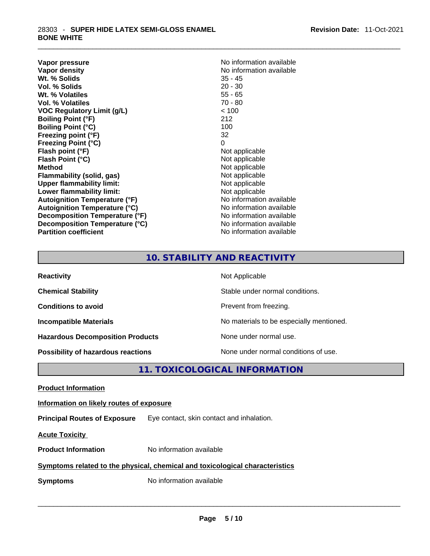**Vapor pressure Vapor pressure No information available Vapor density**<br> **We Solids**<br>
We Solids
25 - 45 **Wt. % Solids** 35 - 45 **Vol. % Solids Wt. % Volatiles** 55 - 65 **Vol. % Volatiles** 70 - 80 **VOC Regulatory Limit (g/L)** < 100 **Boiling Point (°F)** 212 **Boiling Point (°C) Freezing point (°F)** 32 **Freezing Point (°C)** 0<br> **Flash point (°F)** 0<br>
Not applicable **Flash point (°F)** Not applicable **Flash Point (°C) Method**<br> **Plammability (solid, gas)**<br> **Plammability (solid, gas)**<br> **Not** applicable **Flammability** (solid, gas) **Upper flammability limit:** Not applicable **Lower flammability limit:**<br> **Autoignition Temperature (°F)**<br>
Mo information available **Autoignition Temperature (°F) Autoignition Temperature (°C)** No information available **Decomposition Temperature (°F)** No information available **Decomposition Temperature (°C)** No information available **Partition coefficient** No information available

## **10. STABILITY AND REACTIVITY**

| <b>Reactivity</b>                         | Not Applicable                           |
|-------------------------------------------|------------------------------------------|
| <b>Chemical Stability</b>                 | Stable under normal conditions.          |
| <b>Conditions to avoid</b>                | Prevent from freezing.                   |
| <b>Incompatible Materials</b>             | No materials to be especially mentioned. |
| <b>Hazardous Decomposition Products</b>   | None under normal use.                   |
| <b>Possibility of hazardous reactions</b> | None under normal conditions of use.     |

**11. TOXICOLOGICAL INFORMATION** 

**Product Information Information on likely routes of exposure Principal Routes of Exposure** Eye contact, skin contact and inhalation. **Acute Toxicity Product Information** No information available **Symptoms related to the physical, chemical and toxicological characteristics Symptoms** No information available **Notifically and the set of the set of the set of the set of the set of the set of the set of the set of the set of the set of the set of the set of the set of the set of the set of the**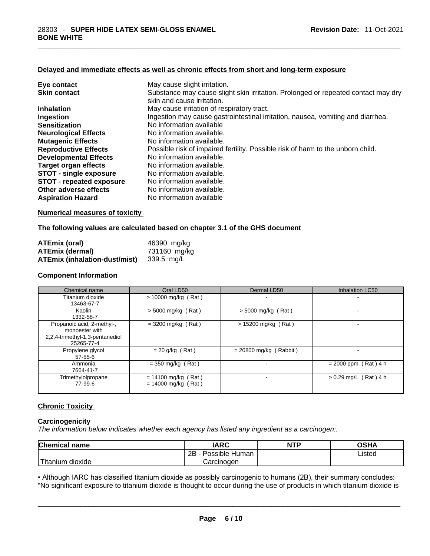## **Delayed and immediate effects as well as chronic effects from short and long-term exposure**

| Eye contact                     | May cause slight irritation.                                                      |
|---------------------------------|-----------------------------------------------------------------------------------|
| <b>Skin contact</b>             | Substance may cause slight skin irritation. Prolonged or repeated contact may dry |
|                                 | skin and cause irritation.                                                        |
| <b>Inhalation</b>               | May cause irritation of respiratory tract.                                        |
| Ingestion                       | Ingestion may cause gastrointestinal irritation, nausea, vomiting and diarrhea.   |
| <b>Sensitization</b>            | No information available                                                          |
| <b>Neurological Effects</b>     | No information available.                                                         |
| <b>Mutagenic Effects</b>        | No information available.                                                         |
| <b>Reproductive Effects</b>     | Possible risk of impaired fertility. Possible risk of harm to the unborn child.   |
| <b>Developmental Effects</b>    | No information available.                                                         |
| Target organ effects            | No information available.                                                         |
| <b>STOT - single exposure</b>   | No information available.                                                         |
| <b>STOT - repeated exposure</b> | No information available.                                                         |
| Other adverse effects           | No information available.                                                         |
| <b>Aspiration Hazard</b>        | No information available                                                          |

#### **Numerical measures of toxicity**

#### **The following values are calculated based on chapter 3.1 of the GHS document**

| <b>ATEmix (oral)</b>                     | 46390 mg/kg  |
|------------------------------------------|--------------|
| <b>ATEmix (dermal)</b>                   | 731160 mg/kg |
| ATEmix (inhalation-dust/mist) 339.5 mg/L |              |

## **Component Information**

| Chemical name                                                                                 | Oral LD50                                      | Dermal LD50              | Inhalation LC50         |
|-----------------------------------------------------------------------------------------------|------------------------------------------------|--------------------------|-------------------------|
| Titanium dioxide<br>13463-67-7                                                                | > 10000 mg/kg (Rat)                            |                          |                         |
| Kaolin<br>1332-58-7                                                                           | $>$ 5000 mg/kg (Rat)                           | $>$ 5000 mg/kg (Rat)     |                         |
| Propanoic acid, 2-methyl-,<br>monoester with<br>2,2,4-trimethyl-1,3-pentanediol<br>25265-77-4 | $= 3200$ mg/kg (Rat)                           | > 15200 mg/kg (Rat)      |                         |
| Propylene glycol<br>$57 - 55 - 6$                                                             | $= 20$ g/kg (Rat)                              | $= 20800$ mg/kg (Rabbit) |                         |
| Ammonia<br>7664-41-7                                                                          | $=$ 350 mg/kg (Rat)                            |                          | $= 2000$ ppm (Rat) 4 h  |
| Trimethylolpropane<br>77-99-6                                                                 | $= 14100$ mg/kg (Rat)<br>$= 14000$ mg/kg (Rat) |                          | $> 0.29$ mg/L (Rat) 4 h |

#### **Chronic Toxicity**

## **Carcinogenicity**

*The information below indicates whether each agency has listed any ingredient as a carcinogen:.* 

| <b>Chemical name</b>    | IARC                 | <b>NTP</b> | OSHA   |
|-------------------------|----------------------|------------|--------|
|                         | Possible Human<br>2Β |            | ∟isted |
| ` Titanium 、<br>dioxide | Carcinoɑen           |            |        |

Titanium dioxide<br>
Carcinogen<br>
Carcinogen<br>
Carcinogen Listed<br>
Carcinogen Carcinogen Listed<br>
Carcinogen Carcinogen Listed<br>
Carcinogen Listed<br>
Carcinogen Listed<br>
Carcinogen Listed<br>
Carcinogen Listed<br>
Carcinogen Listed<br>
Carcin • Although IARC has classified titanium dioxide as possibly carcinogenic to humans (2B), their summary concludes: "No significant exposure to titanium dioxide is thought to occur during the use of products in which titanium dioxide is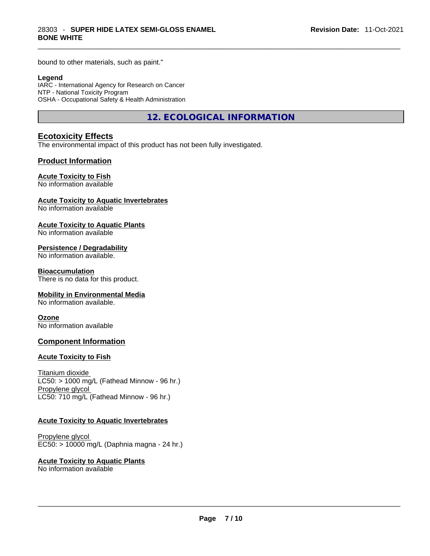bound to other materials, such as paint."

#### **Legend**

IARC - International Agency for Research on Cancer NTP - National Toxicity Program OSHA - Occupational Safety & Health Administration

**12. ECOLOGICAL INFORMATION** 

## **Ecotoxicity Effects**

The environmental impact of this product has not been fully investigated.

#### **Product Information**

#### **Acute Toxicity to Fish**

No information available

### **Acute Toxicity to Aquatic Invertebrates**

No information available

#### **Acute Toxicity to Aquatic Plants**

No information available

#### **Persistence / Degradability**

No information available.

#### **Bioaccumulation**

There is no data for this product.

#### **Mobility in Environmental Media**

No information available.

#### **Ozone**

No information available

## **Component Information**

#### **Acute Toxicity to Fish**

Titanium dioxide  $LC50:$  > 1000 mg/L (Fathead Minnow - 96 hr.) Propylene glycol LC50: 710 mg/L (Fathead Minnow - 96 hr.)

#### **Acute Toxicity to Aquatic Invertebrates**

Propylene glycol EC50: > 10000 mg/L (Daphnia magna - 24 hr.)

#### **Acute Toxicity to Aquatic Plants**

No information available \_\_\_\_\_\_\_\_\_\_\_\_\_\_\_\_\_\_\_\_\_\_\_\_\_\_\_\_\_\_\_\_\_\_\_\_\_\_\_\_\_\_\_\_\_\_\_\_\_\_\_\_\_\_\_\_\_\_\_\_\_\_\_\_\_\_\_\_\_\_\_\_\_\_\_\_\_\_\_\_\_\_\_\_\_\_\_\_\_\_\_\_\_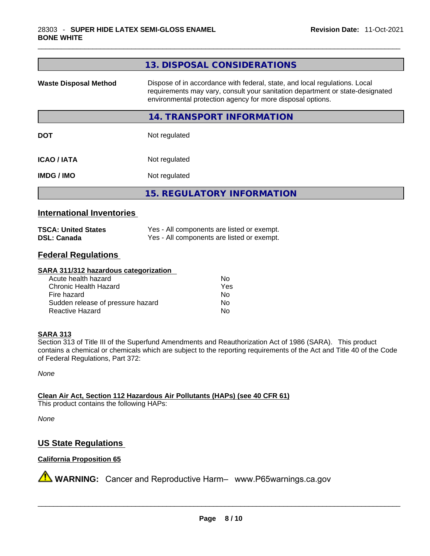| Dispose of in accordance with federal, state, and local regulations. Local<br><b>Waste Disposal Method</b><br>requirements may vary, consult your sanitation department or state-designated<br>environmental protection agency for more disposal options.<br>14. TRANSPORT INFORMATION |
|----------------------------------------------------------------------------------------------------------------------------------------------------------------------------------------------------------------------------------------------------------------------------------------|
|                                                                                                                                                                                                                                                                                        |
|                                                                                                                                                                                                                                                                                        |
| Not regulated<br><b>DOT</b>                                                                                                                                                                                                                                                            |
| Not regulated<br><b>ICAO/IATA</b>                                                                                                                                                                                                                                                      |
| Not regulated<br><b>IMDG/IMO</b>                                                                                                                                                                                                                                                       |
| <b>15. REGULATORY INFORMATION</b>                                                                                                                                                                                                                                                      |

## **International Inventories**

| <b>TSCA: United States</b> | Yes - All components are listed or exempt. |
|----------------------------|--------------------------------------------|
| <b>DSL: Canada</b>         | Yes - All components are listed or exempt. |

## **Federal Regulations**

#### **SARA 311/312 hazardous categorization**

| Acute health hazard               | Nο  |
|-----------------------------------|-----|
| Chronic Health Hazard             | Yes |
| Fire hazard                       | N٥  |
| Sudden release of pressure hazard | Nο  |
| Reactive Hazard                   | N٥  |

#### **SARA 313**

Section 313 of Title III of the Superfund Amendments and Reauthorization Act of 1986 (SARA). This product contains a chemical or chemicals which are subject to the reporting requirements of the Act and Title 40 of the Code of Federal Regulations, Part 372:

*None*

**Clean Air Act,Section 112 Hazardous Air Pollutants (HAPs) (see 40 CFR 61)** This product contains the following HAPs:

*None*

## **US State Regulations**

## **California Proposition 65**

**A** WARNING: Cancer and Reproductive Harm– www.P65warnings.ca.gov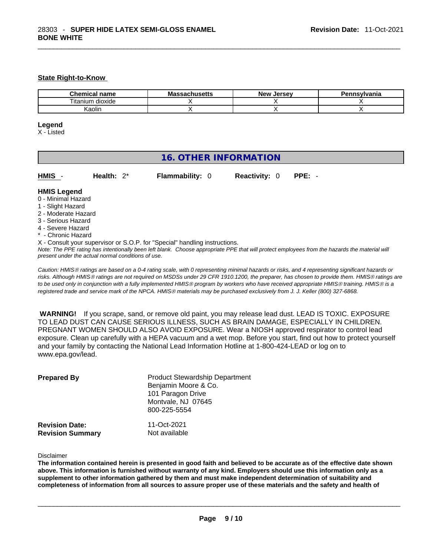#### **State Right-to-Know**

| <b>Chemical</b><br>name | Massachusetts | Jersev<br><b>Nev</b> | Pennsylvania |
|-------------------------|---------------|----------------------|--------------|
| <br>dioxide<br>litanium |               |                      |              |
| (aolin                  |               |                      |              |

#### **Legend**

X - Listed

## **16. OTHER INFORMATION**

| HMIS - | Health: $2^*$ | <b>Flammability: 0</b> | <b>Reactivity: 0 PPE: -</b> |  |
|--------|---------------|------------------------|-----------------------------|--|
|        |               |                        |                             |  |

#### **HMIS Legend**

- 0 Minimal Hazard
- 1 Slight Hazard
- 2 Moderate Hazard
- 3 Serious Hazard
- 4 Severe Hazard
- \* Chronic Hazard
- X Consult your supervisor or S.O.P. for "Special" handling instructions.

Note: The PPE rating has intentionally been left blank. Choose appropriate PPE that will protect employees from the hazards the material will *present under the actual normal conditions of use.* 

*Caution: HMISÒ ratings are based on a 0-4 rating scale, with 0 representing minimal hazards or risks, and 4 representing significant hazards or risks. Although HMISÒ ratings are not required on MSDSs under 29 CFR 1910.1200, the preparer, has chosen to provide them. HMISÒ ratings are to be used only in conjunction with a fully implemented HMISÒ program by workers who have received appropriate HMISÒ training. HMISÒ is a registered trade and service mark of the NPCA. HMISÒ materials may be purchased exclusively from J. J. Keller (800) 327-6868.* 

 **WARNING!** If you scrape, sand, or remove old paint, you may release lead dust. LEAD IS TOXIC. EXPOSURE TO LEAD DUST CAN CAUSE SERIOUS ILLNESS, SUCH AS BRAIN DAMAGE, ESPECIALLY IN CHILDREN. PREGNANT WOMEN SHOULD ALSO AVOID EXPOSURE.Wear a NIOSH approved respirator to control lead exposure. Clean up carefully with a HEPA vacuum and a wet mop. Before you start, find out how to protect yourself and your family by contacting the National Lead Information Hotline at 1-800-424-LEAD or log on to www.epa.gov/lead.

| <b>Prepared By</b>                               | <b>Product Stewardship Department</b><br>Benjamin Moore & Co.<br>101 Paragon Drive<br>Montvale, NJ 07645<br>800-225-5554 |  |  |
|--------------------------------------------------|--------------------------------------------------------------------------------------------------------------------------|--|--|
| <b>Revision Date:</b><br><b>Revision Summary</b> | 11-Oct-2021<br>Not available                                                                                             |  |  |

Disclaimer

The information contained herein is presented in good faith and believed to be accurate as of the effective date shown above. This information is furnished without warranty of any kind. Employers should use this information only as a **supplement to other information gathered by them and must make independent determination of suitability and** completeness of information from all sources to assure proper use of these materials and the safety and health of